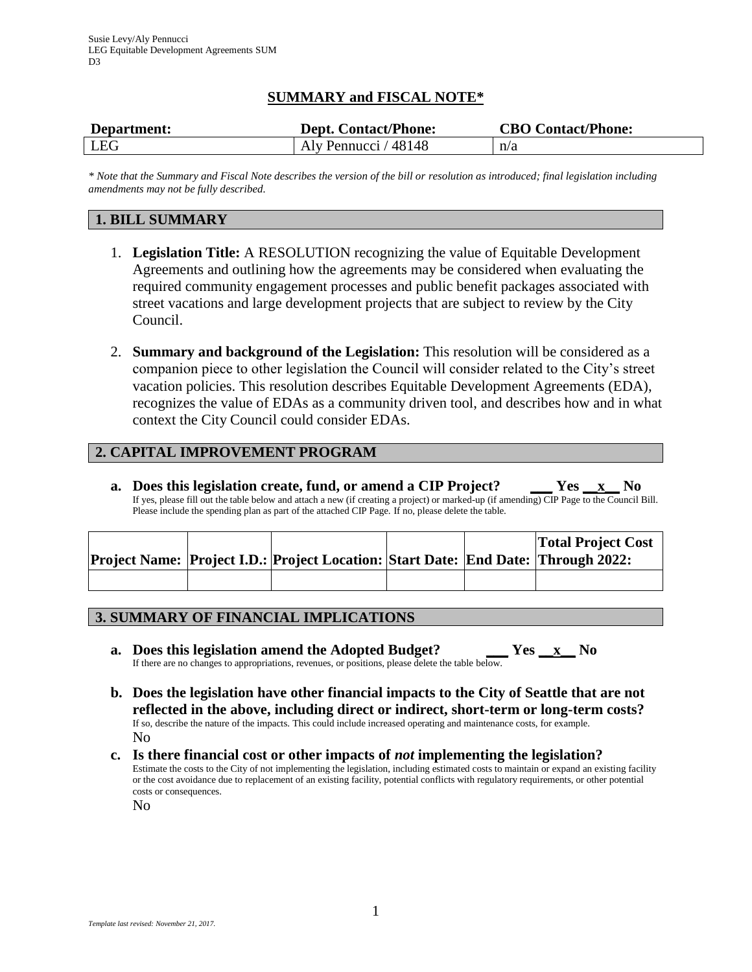# **SUMMARY and FISCAL NOTE\***

| Department: | <b>Dept. Contact/Phone:</b> | <b>CBO Contact/Phone:</b> |
|-------------|-----------------------------|---------------------------|
| LEG         | Aly Pennucci / 48148        | n/a                       |

*\* Note that the Summary and Fiscal Note describes the version of the bill or resolution as introduced; final legislation including amendments may not be fully described.*

# **1. BILL SUMMARY**

- 1. **Legislation Title:** A RESOLUTION recognizing the value of Equitable Development Agreements and outlining how the agreements may be considered when evaluating the required community engagement processes and public benefit packages associated with street vacations and large development projects that are subject to review by the City Council.
- 2. **Summary and background of the Legislation:** This resolution will be considered as a companion piece to other legislation the Council will consider related to the City's street vacation policies. This resolution describes Equitable Development Agreements (EDA), recognizes the value of EDAs as a community driven tool, and describes how and in what context the City Council could consider EDAs.

# **2. CAPITAL IMPROVEMENT PROGRAM**

**a. Does this legislation create, fund, or amend a CIP Project? \_\_\_ Yes \_\_x\_\_ No** If yes, please fill out the table below and attach a new (if creating a project) or marked-up (if amending) CIP Page to the Council Bill. Please include the spending plan as part of the attached CIP Page. If no, please delete the table.

|  | Project Name: Project I.D.: Project Location: Start Date: End Date: Through 2022: |  | <b>Total Project Cost</b> |
|--|-----------------------------------------------------------------------------------|--|---------------------------|
|  |                                                                                   |  |                           |

# **3. SUMMARY OF FINANCIAL IMPLICATIONS**

- **a. Does this legislation amend the Adopted Budget? \_\_\_ Yes \_\_x\_\_ No** If there are no changes to appropriations, revenues, or positions, please delete the table below.
- **b. Does the legislation have other financial impacts to the City of Seattle that are not reflected in the above, including direct or indirect, short-term or long-term costs?** If so, describe the nature of the impacts. This could include increased operating and maintenance costs, for example. No
- **c. Is there financial cost or other impacts of** *not* **implementing the legislation?** Estimate the costs to the City of not implementing the legislation, including estimated costs to maintain or expand an existing facility or the cost avoidance due to replacement of an existing facility, potential conflicts with regulatory requirements, or other potential costs or consequences.

No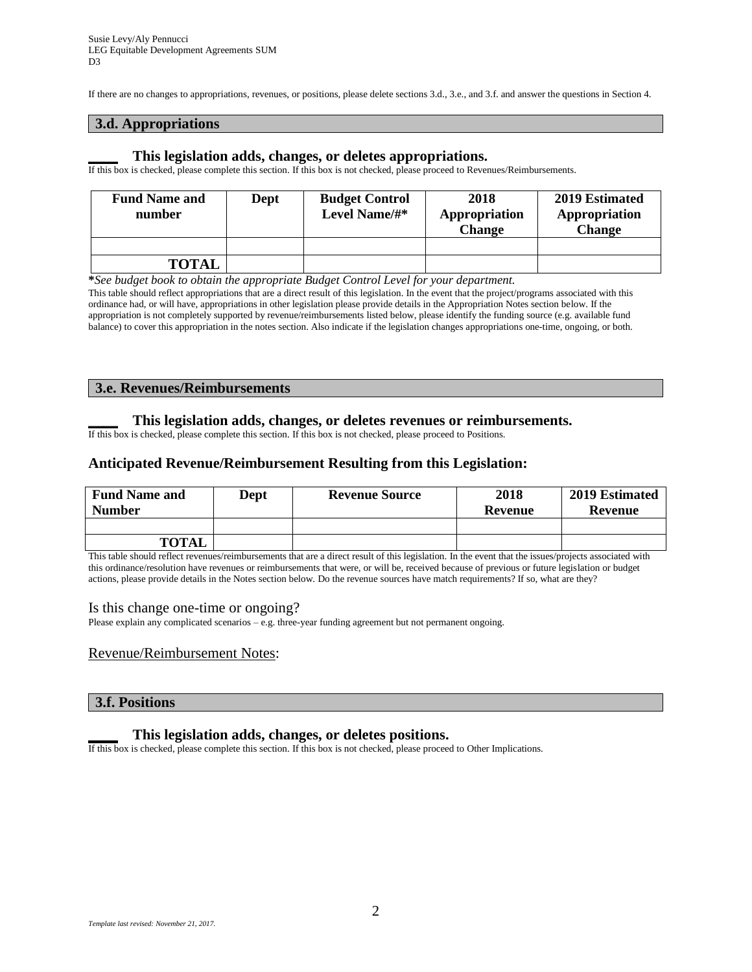If there are no changes to appropriations, revenues, or positions, please delete sections 3.d., 3.e., and 3.f. and answer the questions in Section 4.

## **3.d. Appropriations**

### **\_\_\_\_ This legislation adds, changes, or deletes appropriations.**

If this box is checked, please complete this section. If this box is not checked, please proceed to Revenues/Reimbursements.

| <b>Fund Name and</b><br>number | Dept | <b>Budget Control</b><br>Level Name/#* | 2018<br>Appropriation<br>Change | 2019 Estimated<br>Appropriation<br><b>Change</b> |
|--------------------------------|------|----------------------------------------|---------------------------------|--------------------------------------------------|
|                                |      |                                        |                                 |                                                  |
| <b>TOTAL</b>                   |      |                                        |                                 |                                                  |

**\****See budget book to obtain the appropriate Budget Control Level for your department.*

This table should reflect appropriations that are a direct result of this legislation. In the event that the project/programs associated with this ordinance had, or will have, appropriations in other legislation please provide details in the Appropriation Notes section below. If the appropriation is not completely supported by revenue/reimbursements listed below, please identify the funding source (e.g. available fund balance) to cover this appropriation in the notes section. Also indicate if the legislation changes appropriations one-time, ongoing, or both.

### **3.e. Revenues/Reimbursements**

### **\_\_\_\_ This legislation adds, changes, or deletes revenues or reimbursements.**

If this box is checked, please complete this section. If this box is not checked, please proceed to Positions.

## **Anticipated Revenue/Reimbursement Resulting from this Legislation:**

| <b>Fund Name and</b><br><b>Number</b> | <b>Dept</b> | <b>Revenue Source</b> | 2018<br>Revenue | 2019 Estimated<br>Revenue |
|---------------------------------------|-------------|-----------------------|-----------------|---------------------------|
|                                       |             |                       |                 |                           |
| <b>TOTAL</b>                          |             |                       |                 |                           |

This table should reflect revenues/reimbursements that are a direct result of this legislation. In the event that the issues/projects associated with this ordinance/resolution have revenues or reimbursements that were, or will be, received because of previous or future legislation or budget actions, please provide details in the Notes section below. Do the revenue sources have match requirements? If so, what are they?

#### Is this change one-time or ongoing?

Please explain any complicated scenarios – e.g. three-year funding agreement but not permanent ongoing.

### Revenue/Reimbursement Notes:

### **3.f. Positions**

## **\_\_\_\_ This legislation adds, changes, or deletes positions.**

If this box is checked, please complete this section. If this box is not checked, please proceed to Other Implications.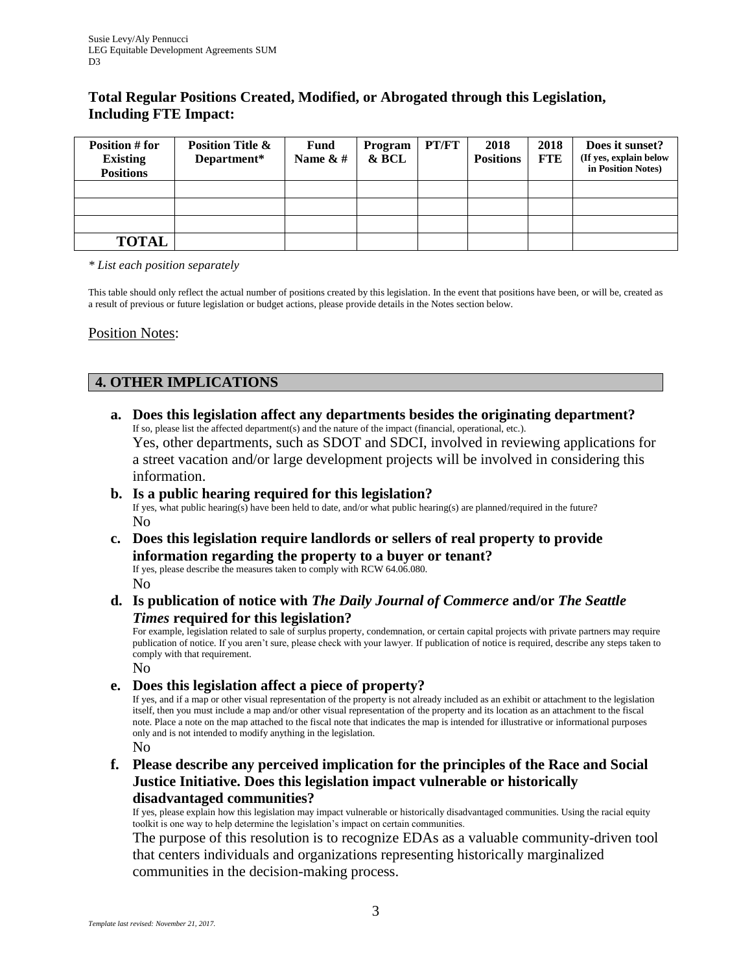# **Total Regular Positions Created, Modified, or Abrogated through this Legislation, Including FTE Impact:**

| Position # for<br><b>Existing</b><br><b>Positions</b> | <b>Position Title &amp;</b><br>Department* | <b>Fund</b><br>Name $&#</math></th><th>Program<br>& BCL</th><th>PT/FT</th><th>2018<br><b>Positions</b></th><th>2018<br><b>FTE</b></th><th>Does it sunset?<br>(If yes, explain below<br>in Position Notes)</th></tr><tr><td></td><td></td><td></td><td></td><td></td><td></td><td></td><td></td></tr><tr><td></td><td></td><td></td><td></td><td></td><td></td><td></td><td></td></tr><tr><td></td><td></td><td></td><td></td><td></td><td></td><td></td><td></td></tr><tr><td><b>TOTAL</b></td><td></td><td></td><td></td><td></td><td></td><td></td><td></td></tr></tbody></table>$ |
|-------------------------------------------------------|--------------------------------------------|--------------------------------------------------------------------------------------------------------------------------------------------------------------------------------------------------------------------------------------------------------------------------------------------------------------------------------------------------------------------------------------------------------------------------------------------------------------------------------------------------------------------------------------------------------------------------------------|
|-------------------------------------------------------|--------------------------------------------|--------------------------------------------------------------------------------------------------------------------------------------------------------------------------------------------------------------------------------------------------------------------------------------------------------------------------------------------------------------------------------------------------------------------------------------------------------------------------------------------------------------------------------------------------------------------------------------|

*\* List each position separately*

This table should only reflect the actual number of positions created by this legislation. In the event that positions have been, or will be, created as a result of previous or future legislation or budget actions, please provide details in the Notes section below.

Position Notes:

# **4. OTHER IMPLICATIONS**

**a. Does this legislation affect any departments besides the originating department?** If so, please list the affected department(s) and the nature of the impact (financial, operational, etc.). Yes, other departments, such as SDOT and SDCI, involved in reviewing applications for a street vacation and/or large development projects will be involved in considering this information.

## **b. Is a public hearing required for this legislation?** If yes, what public hearing(s) have been held to date, and/or what public hearing(s) are planned/required in the future? No

**c. Does this legislation require landlords or sellers of real property to provide information regarding the property to a buyer or tenant?**

If yes, please describe the measures taken to comply with RCW 64.06.080. No

**d. Is publication of notice with** *The Daily Journal of Commerce* **and/or** *The Seattle Times* **required for this legislation?**

For example, legislation related to sale of surplus property, condemnation, or certain capital projects with private partners may require publication of notice. If you aren't sure, please check with your lawyer. If publication of notice is required, describe any steps taken to comply with that requirement.

No

**e. Does this legislation affect a piece of property?**

If yes, and if a map or other visual representation of the property is not already included as an exhibit or attachment to the legislation itself, then you must include a map and/or other visual representation of the property and its location as an attachment to the fiscal note. Place a note on the map attached to the fiscal note that indicates the map is intended for illustrative or informational purposes only and is not intended to modify anything in the legislation. No

**f. Please describe any perceived implication for the principles of the Race and Social Justice Initiative. Does this legislation impact vulnerable or historically** 

## **disadvantaged communities?**

If yes, please explain how this legislation may impact vulnerable or historically disadvantaged communities. Using the racial equity toolkit is one way to help determine the legislation's impact on certain communities.

The purpose of this resolution is to recognize EDAs as a valuable community-driven tool that centers individuals and organizations representing historically marginalized communities in the decision-making process.